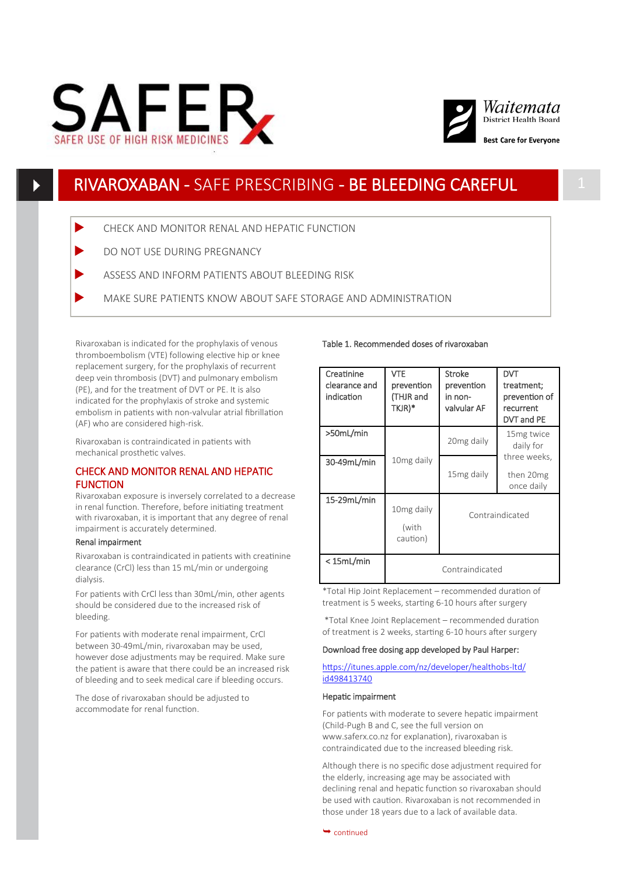



# RIVAROXABAN - SAFE PRESCRIBING - BE BLEEDING CAREFUL

- CHECK AND MONITOR RENAL AND HEPATIC FUNCTION
- DO NOT USE DURING PREGNANCY
- ASSESS AND INFORM PATIENTS ABOUT BLEEDING RISK
- MAKE SURE PATIENTS KNOW ABOUT SAFE STORAGE AND ADMINISTRATION

Rivaroxaban is indicated for the prophylaxis of venous thromboembolism (VTE) following elective hip or knee replacement surgery, for the prophylaxis of recurrent deep vein thrombosis (DVT) and pulmonary embolism (PE), and for the treatment of DVT or PE. It is also indicated for the prophylaxis of stroke and systemic embolism in patients with non-valvular atrial fibrillation (AF) who are considered high-risk.

Rivaroxaban is contraindicated in patients with mechanical prosthetic valves.

# CHECK AND MONITOR RENAL AND HEPATIC **FUNCTION**

Rivaroxaban exposure is inversely correlated to a decrease in renal function. Therefore, before initiating treatment with rivaroxaban, it is important that any degree of renal impairment is accurately determined.

### Renal impairment

Rivaroxaban is contraindicated in patients with creatinine clearance (CrCl) less than 15 mL/min or undergoing dialysis.

For patients with CrCl less than 30mL/min, other agents should be considered due to the increased risk of bleeding.

For patients with moderate renal impairment, CrCl between 30-49mL/min, rivaroxaban may be used, however dose adjustments may be required. Make sure the patient is aware that there could be an increased risk of bleeding and to seek medical care if bleeding occurs.

The dose of rivaroxaban should be adjusted to accommodate for renal function.

### Table 1. Recommended doses of rivaroxaban

| Creatinine<br>clearance and<br>indication | <b>VTE</b><br>prevention<br>(THJR and<br>TKJR)* | <b>Stroke</b><br>prevention<br>in non-<br>valvular AF | DVT<br>treatment;<br>prevention of<br>recurrent<br>DVT and PE |
|-------------------------------------------|-------------------------------------------------|-------------------------------------------------------|---------------------------------------------------------------|
| >50mL/min                                 |                                                 | 20 <sub>mg</sub> daily                                | 15 <sub>mg</sub> twice<br>daily for                           |
| 30-49mL/min                               | 10 <sub>mg</sub> daily                          | 15 <sub>mg</sub> daily                                | three weeks,<br>then 20mg<br>once daily                       |
| 15-29mL/min                               | 10 <sub>mg</sub> daily<br>(with<br>caution)     | Contraindicated                                       |                                                               |
| < 15mL/min                                | Contraindicated                                 |                                                       |                                                               |

\*Total Hip Joint Replacement – recommended duration of treatment is 5 weeks, starting 6-10 hours after surgery

\*Total Knee Joint Replacement – recommended duration of treatment is 2 weeks, starting 6-10 hours after surgery

## Download free dosing app developed by Paul Harper:

## [https://itunes.apple.com/nz/developer/healthobs](https://itunes.apple.com/nz/developer/healthobs-ltd/id498413740)-ltd/ [id498413740](https://itunes.apple.com/nz/developer/healthobs-ltd/id498413740)

#### Hepatic impairment

For patients with moderate to severe hepatic impairment (Child-Pugh B and C, see the full version on www.saferx.co.nz for explanation), rivaroxaban is contraindicated due to the increased bleeding risk.

Although there is no specific dose adjustment required for the elderly, increasing age may be associated with declining renal and hepatic function so rivaroxaban should be used with caution. Rivaroxaban is not recommended in those under 18 years due to a lack of available data.